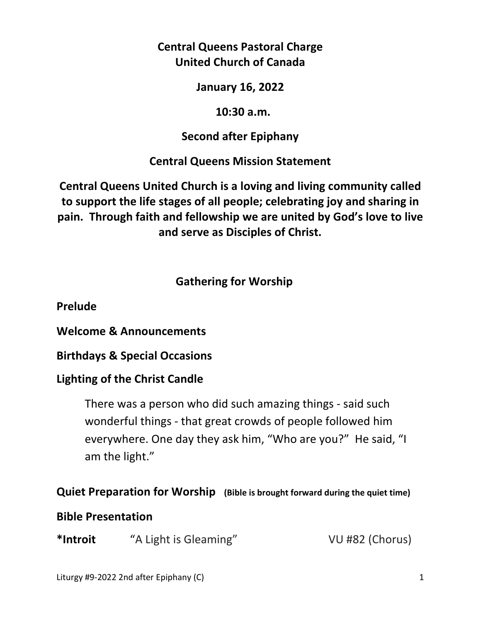## **Central Queens Pastoral Charge United Church of Canada**

**January 16, 2022** 

 **10:30 a.m.** 

# **Second after Epiphany**

# **Central Queens Mission Statement**

**Central Queens United Church is a loving and living community called to support the life stages of all people; celebrating joy and sharing in pain. Through faith and fellowship we are united by God's love to live and serve as Disciples of Christ.**

# **Gathering for Worship**

**Prelude** 

**Welcome & Announcements** 

**Birthdays & Special Occasions** 

# **Lighting of the Christ Candle**

There was a person who did such amazing things - said such wonderful things - that great crowds of people followed him everywhere. One day they ask him, "Who are you?" He said, "I am the light."

# **Quiet Preparation for Worship (Bible is brought forward during the quiet time)**

# **Bible Presentation**

| *Introit | "A Light is Gleaming" | VU #82 (Chorus) |
|----------|-----------------------|-----------------|
|----------|-----------------------|-----------------|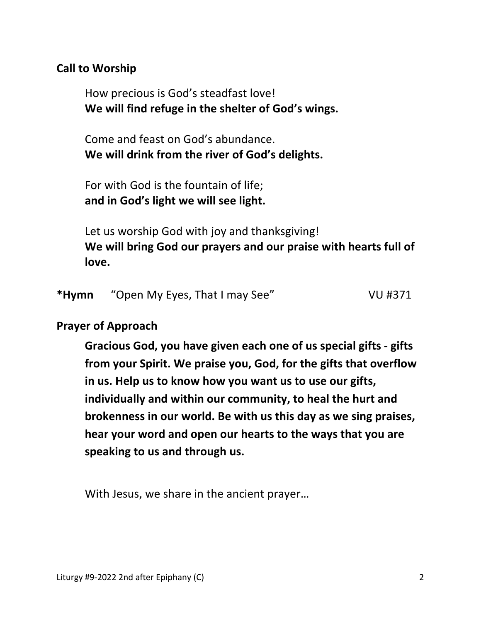### **Call to Worship**

 How precious is God's steadfast love!  **We will find refuge in the shelter of God's wings.**

 Come and feast on God's abundance.  **We will drink from the river of God's delights.**

 For with God is the fountain of life;  **and in God's light we will see light.** 

 Let us worship God with joy and thanksgiving!  **We will bring God our prayers and our praise with hearts full of love.** 

| *Hymn<br>"Open My Eyes, That I may See" | <b>VU #371</b> |
|-----------------------------------------|----------------|
|-----------------------------------------|----------------|

#### **Prayer of Approach**

 **Gracious God, you have given each one of us special gifts - gifts from your Spirit. We praise you, God, for the gifts that overflow in us. Help us to know how you want us to use our gifts, individually and within our community, to heal the hurt and brokenness in our world. Be with us this day as we sing praises, hear your word and open our hearts to the ways that you are speaking to us and through us.** 

With Jesus, we share in the ancient prayer…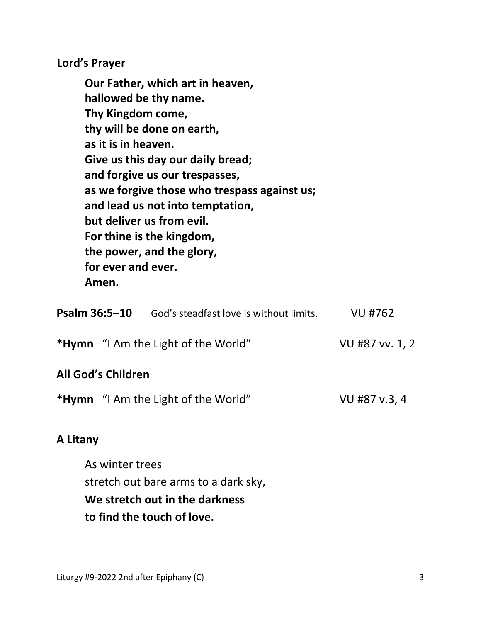**Lord's Prayer** 

**Our Father, which art in heaven, hallowed be thy name. Thy Kingdom come, thy will be done on earth, as it is in heaven. Give us this day our daily bread; and forgive us our trespasses, as we forgive those who trespass against us; and lead us not into temptation, but deliver us from evil. For thine is the kingdom, the power, and the glory, for ever and ever. Amen.** 

| Psalm 36:5-10             | God's steadfast love is without limits.    | VU #762         |
|---------------------------|--------------------------------------------|-----------------|
|                           | <b>*Hymn</b> "I Am the Light of the World" | VU #87 vv. 1, 2 |
| <b>All God's Children</b> |                                            |                 |
|                           | <b>*Hymn</b> "I Am the Light of the World" | VU #87 v.3, 4   |

#### **A Litany**

 As winter trees stretch out bare arms to a dark sky,  **We stretch out in the darkness to find the touch of love.**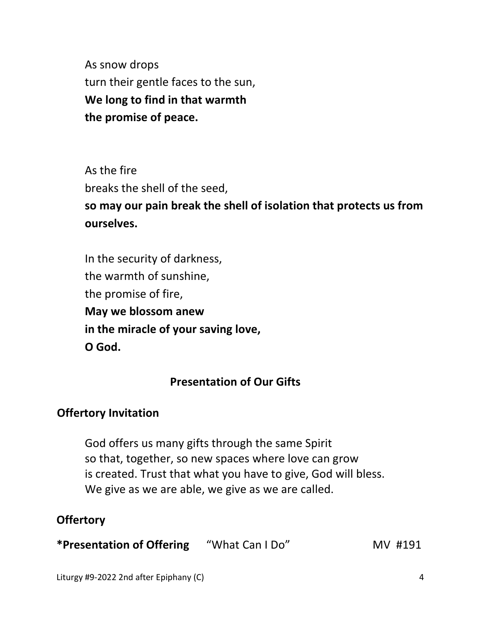As snow drops turn their gentle faces to the sun,  **We long to find in that warmth the promise of peace.** 

 As the fire breaks the shell of the seed,  **so may our pain break the shell of isolation that protects us from ourselves.** 

 In the security of darkness, the warmth of sunshine, the promise of fire,  **May we blossom anew in the miracle of your saving love, O God.**

## **Presentation of Our Gifts**

### **Offertory Invitation**

God offers us many gifts through the same Spirit so that, together, so new spaces where love can grow is created. Trust that what you have to give, God will bless. We give as we are able, we give as we are called.

### **Offertory**

**\*Presentation of Offering** "What Can I Do" MV #191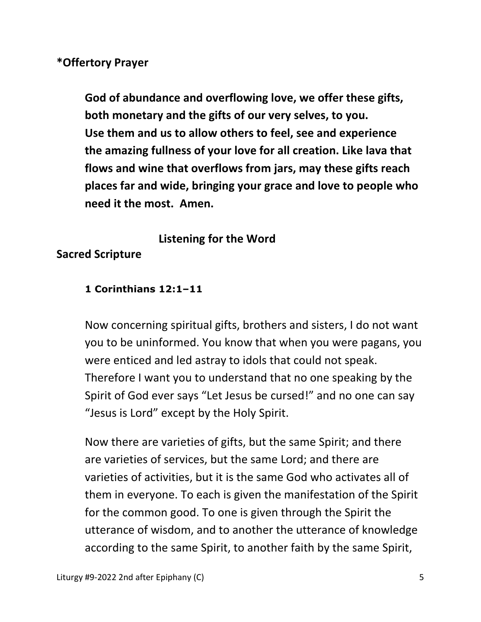#### **\*Offertory Prayer**

 **God of abundance and overflowing love, we offer these gifts, both monetary and the gifts of our very selves, to you. Use them and us to allow others to feel, see and experience the amazing fullness of your love for all creation. Like lava that flows and wine that overflows from jars, may these gifts reach places far and wide, bringing your grace and love to people who need it the most. Amen.** 

### **Listening for the Word**

### **Sacred Scripture**

#### **1 Corinthians 12:1–11**

Now concerning spiritual gifts, brothers and sisters, I do not want you to be uninformed. You know that when you were pagans, you were enticed and led astray to idols that could not speak. Therefore I want you to understand that no one speaking by the Spirit of God ever says "Let Jesus be cursed!" and no one can say "Jesus is Lord" except by the Holy Spirit.

Now there are varieties of gifts, but the same Spirit; and there are varieties of services, but the same Lord; and there are varieties of activities, but it is the same God who activates all of them in everyone. To each is given the manifestation of the Spirit for the common good. To one is given through the Spirit the utterance of wisdom, and to another the utterance of knowledge according to the same Spirit, to another faith by the same Spirit,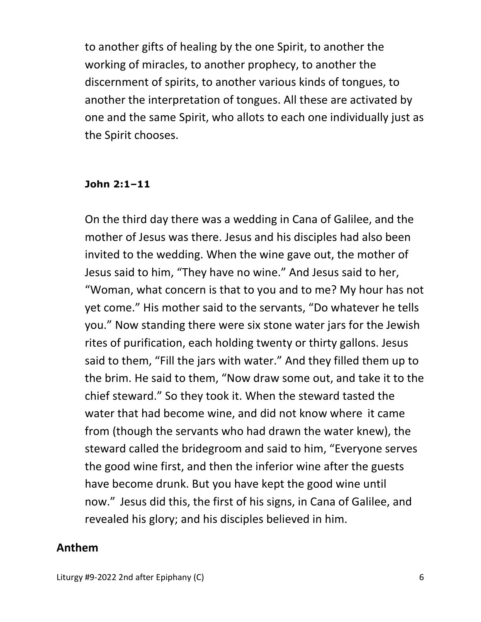to another gifts of healing by the one Spirit, to another the working of miracles, to another prophecy, to another the discernment of spirits, to another various kinds of tongues, to another the interpretation of tongues. All these are activated by one and the same Spirit, who allots to each one individually just as the Spirit chooses.

#### **John 2:1–11**

On the third day there was a wedding in Cana of Galilee, and the mother of Jesus was there. Jesus and his disciples had also been invited to the wedding. When the wine gave out, the mother of Jesus said to him, "They have no wine." And Jesus said to her, "Woman, what concern is that to you and to me? My hour has not yet come." His mother said to the servants, "Do whatever he tells you." Now standing there were six stone water jars for the Jewish rites of purification, each holding twenty or thirty gallons. Jesus said to them, "Fill the jars with water." And they filled them up to the brim. He said to them, "Now draw some out, and take it to the chief steward." So they took it. When the steward tasted the water that had become wine, and did not know where it came from (though the servants who had drawn the water knew), the steward called the bridegroom and said to him, "Everyone serves the good wine first, and then the inferior wine after the guests have become drunk. But you have kept the good wine until now." Jesus did this, the first of his signs, in Cana of Galilee, and revealed his glory; and his disciples believed in him.

#### **Anthem**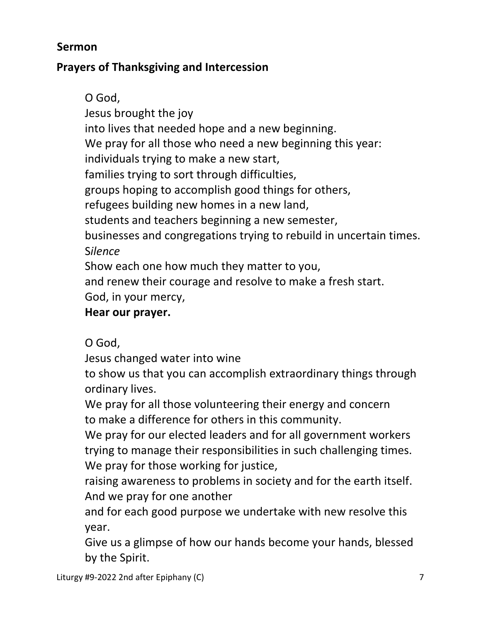## **Sermon**

## **Prayers of Thanksgiving and Intercession**

 O God, Jesus brought the joy into lives that needed hope and a new beginning. We pray for all those who need a new beginning this year: individuals trying to make a new start, families trying to sort through difficulties, groups hoping to accomplish good things for others, refugees building new homes in a new land, students and teachers beginning a new semester, businesses and congregations trying to rebuild in uncertain times. S*ilence*  Show each one how much they matter to you,

and renew their courage and resolve to make a fresh start.

God, in your mercy,

## **Hear our prayer.**

O God,

Jesus changed water into wine

 to show us that you can accomplish extraordinary things through ordinary lives.

 We pray for all those volunteering their energy and concern to make a difference for others in this community.

 We pray for our elected leaders and for all government workers trying to manage their responsibilities in such challenging times. We pray for those working for justice,

 raising awareness to problems in society and for the earth itself. And we pray for one another

 and for each good purpose we undertake with new resolve this year.

 Give us a glimpse of how our hands become your hands, blessed by the Spirit.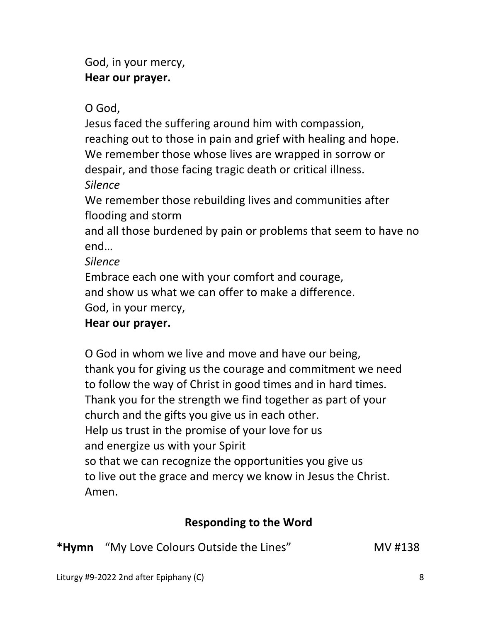God, in your mercy,  **Hear our prayer.** 

O God,

 Jesus faced the suffering around him with compassion, reaching out to those in pain and grief with healing and hope. We remember those whose lives are wrapped in sorrow or despair, and those facing tragic death or critical illness. *Silence*

 We remember those rebuilding lives and communities after flooding and storm

 and all those burdened by pain or problems that seem to have no end…

*Silence* 

 Embrace each one with your comfort and courage, and show us what we can offer to make a difference. God, in your mercy,

# **Hear our prayer.**

O God in whom we live and move and have our being, thank you for giving us the courage and commitment we need to follow the way of Christ in good times and in hard times. Thank you for the strength we find together as part of your church and the gifts you give us in each other. Help us trust in the promise of your love for us and energize us with your Spirit so that we can recognize the opportunities you give us to live out the grace and mercy we know in Jesus the Christ. Amen.

## **Responding to the Word**

\*Hymn 
"My Love Colours Outside the Lines" MV #138